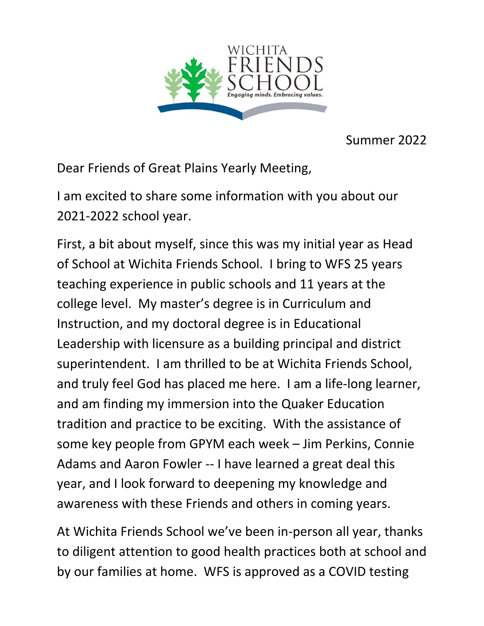

Summer 2022

Dear Friends of Great Plains Yearly Meeting,

I am excited to share some information with you about our 2021-2022 school year.

First, a bit about myself, since this was my initial year as Head of School at Wichita Friends School. I bring to WFS 25 years teaching experience in public schools and 11 years at the college level. My master's degree is in Curriculum and Instruction, and my doctoral degree is in Educational Leadership with licensure as a building principal and district superintendent. I am thrilled to be at Wichita Friends School, and truly feel God has placed me here. I am a life-long learner, and am finding my immersion into the Quaker Education tradition and practice to be exciting. With the assistance of some key people from GPYM each week – Jim Perkins, Connie Adams and Aaron Fowler -- I have learned a great deal this year, and I look forward to deepening my knowledge and awareness with these Friends and others in coming years.

At Wichita Friends School we've been in-person all year, thanks to diligent attention to good health practices both at school and by our families at home. WFS is approved as a COVID testing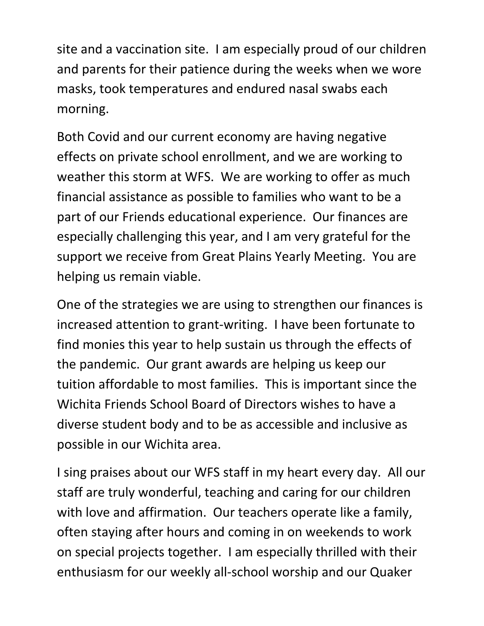site and a vaccination site. I am especially proud of our children and parents for their patience during the weeks when we wore masks, took temperatures and endured nasal swabs each morning.

Both Covid and our current economy are having negative effects on private school enrollment, and we are working to weather this storm at WFS. We are working to offer as much financial assistance as possible to families who want to be a part of our Friends educational experience. Our finances are especially challenging this year, and I am very grateful for the support we receive from Great Plains Yearly Meeting. You are helping us remain viable.

One of the strategies we are using to strengthen our finances is increased attention to grant-writing. I have been fortunate to find monies this year to help sustain us through the effects of the pandemic. Our grant awards are helping us keep our tuition affordable to most families. This is important since the Wichita Friends School Board of Directors wishes to have a diverse student body and to be as accessible and inclusive as possible in our Wichita area.

I sing praises about our WFS staff in my heart every day. All our staff are truly wonderful, teaching and caring for our children with love and affirmation. Our teachers operate like a family, often staying after hours and coming in on weekends to work on special projects together. I am especially thrilled with their enthusiasm for our weekly all-school worship and our Quaker